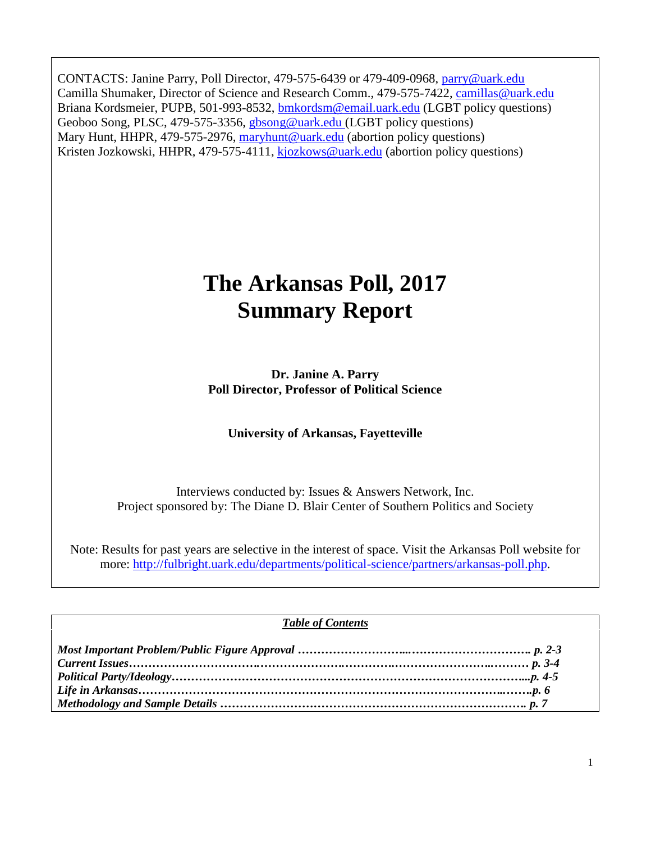CONTACTS: Janine Parry, Poll Director, 479-575-6439 or 479-409-0968, [parry@uark.edu](mailto:parry@uark.edu) Camilla Shumaker, Director of Science and Research Comm., 479-575-7422, [camillas@uark.edu](mailto:camillas@uark.edu) Briana Kordsmeier, PUPB, 501-993-8532, [bmkordsm@email.uark.edu](mailto:bmkordsm@email.uark.edu) (LGBT policy questions) Geoboo Song, PLSC, 479-575-3356, [gbsong@uark.edu](mailto:gbsong@uark.edu) (LGBT policy questions) Mary Hunt, HHPR, 479-575-2976, [maryhunt@uark.edu](mailto:maryhunt@uark.edu) (abortion policy questions) Kristen Jozkowski, HHPR, 479-575-4111, [kjozkows@uark.edu](mailto:kjozkows@uark.edu) (abortion policy questions)

# **The Arkansas Poll, 2017 Summary Report**

**Dr. Janine A. Parry Poll Director, Professor of Political Science**

**University of Arkansas, Fayetteville**

Interviews conducted by: Issues & Answers Network, Inc. Project sponsored by: The Diane D. Blair Center of Southern Politics and Society

Note: Results for past years are selective in the interest of space. Visit the Arkansas Poll website for more: [http://fulbright.uark.edu/departments/political-science/partners/arkansas-poll.php.](http://fulbright.uark.edu/departments/political-science/partners/arkansas-poll.php)

#### *Table of Contents*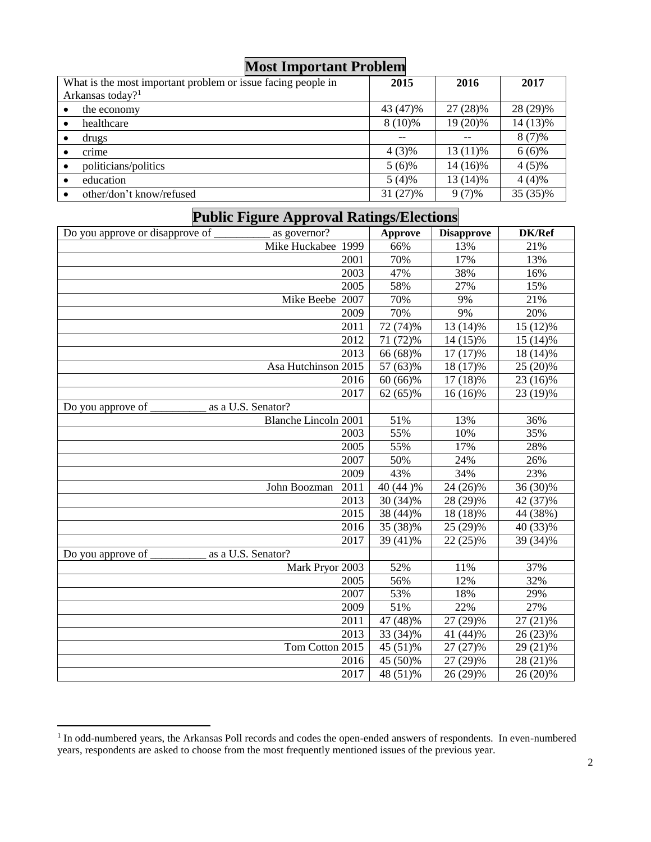| <b>Nost Important Problem</b>                                |           |            |          |
|--------------------------------------------------------------|-----------|------------|----------|
| What is the most important problem or issue facing people in | 2015      | 2016       | 2017     |
| Arkansas today? <sup>1</sup>                                 |           |            |          |
| the economy<br>$\bullet$                                     | 43 (47)%  | 27 (28)%   | 28 (29)% |
| healthcare<br>$\bullet$                                      | $8(10)\%$ | 19 (20)%   | 14 (13)% |
| drugs<br>$\bullet$                                           |           |            | $8(7)\%$ |
| crime                                                        | $4(3)\%$  | $13(11)\%$ | $6(6)\%$ |
| politicians/politics<br>$\bullet$                            | $5(6)\%$  | 14 (16)%   | $4(5)\%$ |
| education<br>$\bullet$                                       | $5(4)\%$  | 13 (14)%   | $4(4)\%$ |
| other/don't know/refused                                     | 31 (27)%  | $9(7)\%$   | 35 (35)% |

## **Most Important Problem**

# **Public Figure Approval Ratings/Elections**

| Do you approve or disapprove of | as governor?                | Approve                | <b>Disapprove</b> | DK/Ref     |
|---------------------------------|-----------------------------|------------------------|-------------------|------------|
|                                 | Mike Huckabee 1999          | 66%                    | 13%               | 21%        |
|                                 | 2001                        | 70%                    | 17%               | 13%        |
|                                 | 2003                        | 47%                    | 38%               | 16%        |
|                                 | 2005                        | 58%                    | 27%               | 15%        |
|                                 | Mike Beebe 2007             | 70%                    | 9%                | 21%        |
|                                 | 2009                        | 70%                    | 9%                | 20%        |
|                                 | 2011                        | $\overline{7}$ 2 (74)% | 13 (14)%          | 15 (12)%   |
|                                 | 2012                        | 71 (72)%               | 14 (15)%          | 15 (14)%   |
|                                 | 2013                        | 66 (68)%               | $17(17)\%$        | 18 (14)%   |
|                                 | Asa Hutchinson 2015         | 57 (63)%               | 18 (17)%          | 25 (20)%   |
|                                 | 2016                        | 60 (66)%               | 17 (18)%          | 23 (16)%   |
|                                 | 2017                        | $62(65)\%$             | $16(16)\%$        | 23 (19)%   |
| Do you approve of               | as a U.S. Senator?          |                        |                   |            |
|                                 | <b>Blanche Lincoln 2001</b> | 51%                    | 13%               | 36%        |
|                                 | 2003                        | 55%                    | 10%               | 35%        |
|                                 | 2005                        | 55%                    | 17%               | 28%        |
|                                 | 2007                        | 50%                    | 24%               | 26%        |
|                                 | 2009                        | 43%                    | 34%               | 23%        |
|                                 | 2011<br>John Boozman        | 40 (44 )%              | 24 (26)%          | 36 (30)%   |
|                                 | 2013                        | 30 (34)%               | 28 (29)%          | 42 (37)%   |
|                                 | 2015                        | 38 (44)%               | 18 (18)%          | 44 (38%)   |
|                                 | 2016                        | 35 (38)%               | 25 (29)%          | 40 (33)%   |
|                                 | 2017                        | 39 (41)%               | $22(25)\%$        | $39(34)\%$ |
| Do you approve of               | as a U.S. Senator?          |                        |                   |            |
|                                 | Mark Pryor 2003             | 52%                    | 11%               | 37%        |
|                                 | 2005                        | 56%                    | 12%               | 32%        |
|                                 | 2007                        | 53%                    | 18%               | 29%        |
|                                 | 2009                        | 51%                    | 22%               | 27%        |
|                                 | 2011                        | 47 (48)%               | 27 (29)%          | 27 (21)%   |
|                                 | 2013                        | 33 (34)%               | 41 (44)%          | 26 (23)%   |
|                                 | Tom Cotton 2015             | 45 (51)%               | 27 (27)%          | 29 (21)%   |
|                                 | 2016                        | 45 (50)%               | 27 (29)%          | 28 (21)%   |
|                                 | 2017                        | 48 (51)%               | 26 (29)%          | 26 (20)%   |

<sup>&</sup>lt;sup>1</sup> In odd-numbered years, the Arkansas Poll records and codes the open-ended answers of respondents. In even-numbered years, respondents are asked to choose from the most frequently mentioned issues of the previous year.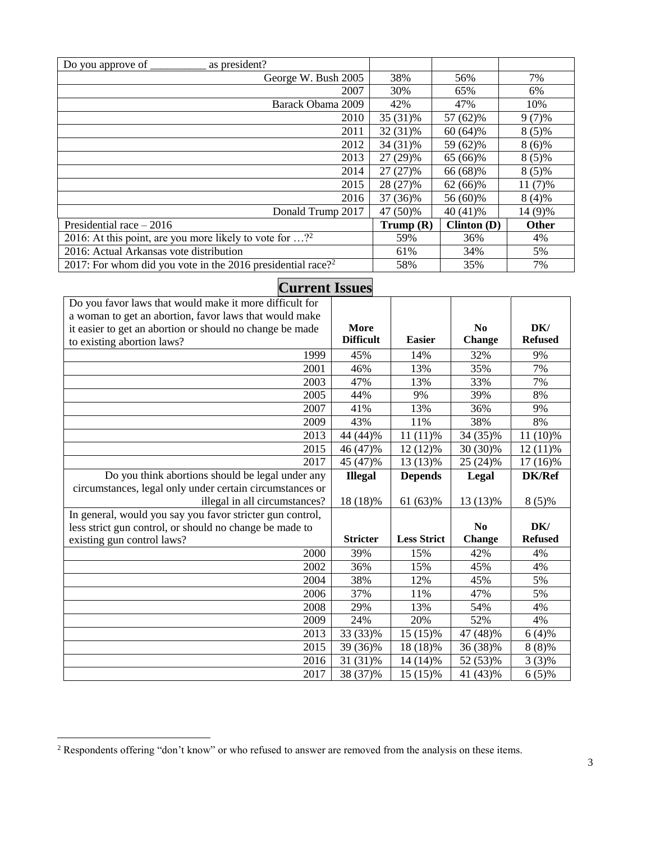| as president?<br>Do you approve of                                           |             |             |           |
|------------------------------------------------------------------------------|-------------|-------------|-----------|
| George W. Bush 2005                                                          | 38%         | 56%         | 7%        |
| 2007                                                                         | 30%         | 65%         | 6%        |
| Barack Obama 2009                                                            | 42%         | 47%         | 10%       |
| 2010                                                                         | 35 (31)%    | 57 (62)%    | $9(7)\%$  |
| 2011                                                                         | 32 (31)%    | $60(64)\%$  | $8(5)\%$  |
| 2012                                                                         | 34 (31)%    | 59 (62)%    | $8(6)\%$  |
| 2013                                                                         | 27 (29)%    | 65 (66)%    | $8(5)\%$  |
| 2014                                                                         | $27(27)\%$  | 66 (68)%    | $8(5)\%$  |
| 2015                                                                         | 28 (27)%    | 62 (66)%    | $11(7)\%$ |
| 2016                                                                         | 37 (36)%    | 56 (60)%    | $8(4)\%$  |
| Donald Trump 2017                                                            | 47 (50)%    | $40(41)\%$  | 14 (9)%   |
| Presidential race $-2016$                                                    | Trump $(R)$ | Clinton (D) | Other     |
| 2016: At this point, are you more likely to vote for $\ldots$ ? <sup>2</sup> | 59%         | 36%         | 4%        |
| 2016: Actual Arkansas vote distribution                                      | 61%         | 34%         | 5%        |
| 2017: For whom did you vote in the 2016 presidential race? <sup>2</sup>      | 58%         | 35%         | 7%        |

| <b>Current Issues</b>                                     |                  |                    |                |                |
|-----------------------------------------------------------|------------------|--------------------|----------------|----------------|
| Do you favor laws that would make it more difficult for   |                  |                    |                |                |
| a woman to get an abortion, favor laws that would make    |                  |                    |                |                |
| it easier to get an abortion or should no change be made  | More             |                    | $\bf N_0$      | DK/            |
| to existing abortion laws?                                | <b>Difficult</b> | <b>Easier</b>      | <b>Change</b>  | <b>Refused</b> |
| 1999                                                      | 45%              | 14%                | 32%            | 9%             |
| 2001                                                      | 46%              | 13%                | 35%            | 7%             |
| 2003                                                      | 47%              | 13%                | 33%            | 7%             |
| 2005                                                      | 44%              | 9%                 | 39%            | 8%             |
| 2007                                                      | 41%              | 13%                | 36%            | 9%             |
| 2009                                                      | 43%              | 11%                | 38%            | 8%             |
| 2013                                                      | 44 (44)%         | $11(11)\%$         | 34 (35)%       | 11 (10)%       |
| 2015                                                      | 46 (47)%         | $12(12)\%$         | 30 (30)%       | $12(11)\%$     |
| 2017                                                      | 45 (47)%         | 13 (13)%           | 25 (24)%       | 17 (16)%       |
| Do you think abortions should be legal under any          | <b>Illegal</b>   | <b>Depends</b>     | Legal          | <b>DK/Ref</b>  |
| circumstances, legal only under certain circumstances or  |                  |                    |                |                |
| illegal in all circumstances?                             | 18 (18)%         | 61 (63)%           | 13 (13)%       | $8(5)\%$       |
| In general, would you say you favor stricter gun control, |                  |                    |                |                |
| less strict gun control, or should no change be made to   |                  |                    | N <sub>0</sub> | DK/            |
| existing gun control laws?                                | <b>Stricter</b>  | <b>Less Strict</b> | <b>Change</b>  | <b>Refused</b> |
| 2000                                                      | 39%              | 15%                | 42%            | 4%             |
| 2002                                                      | 36%              | 15%                | 45%            | 4%             |
| 2004                                                      | 38%              | 12%                | 45%            | 5%             |
| 2006                                                      | 37%              | 11%                | 47%            | 5%             |
| 2008                                                      | 29%              | 13%                | 54%            | 4%             |
| 2009                                                      | 24%              | 20%                | 52%            | 4%             |
| 2013                                                      | 33 (33)%         | 15 (15)%           | 47 (48)%       | $6(4)\%$       |
| 2015                                                      | 39 (36)%         | 18 (18)%           | 36 (38)%       | $8(8)\%$       |
| 2016                                                      | 31 (31)%         | 14 (14)%           | 52 (53)%       | $3(3)\%$       |
| 2017                                                      | 38 (37)%         | 15 (15)%           | 41 (43)%       | $6(5)\%$       |

#### <sup>2</sup> Respondents offering "don't know" or who refused to answer are removed from the analysis on these items.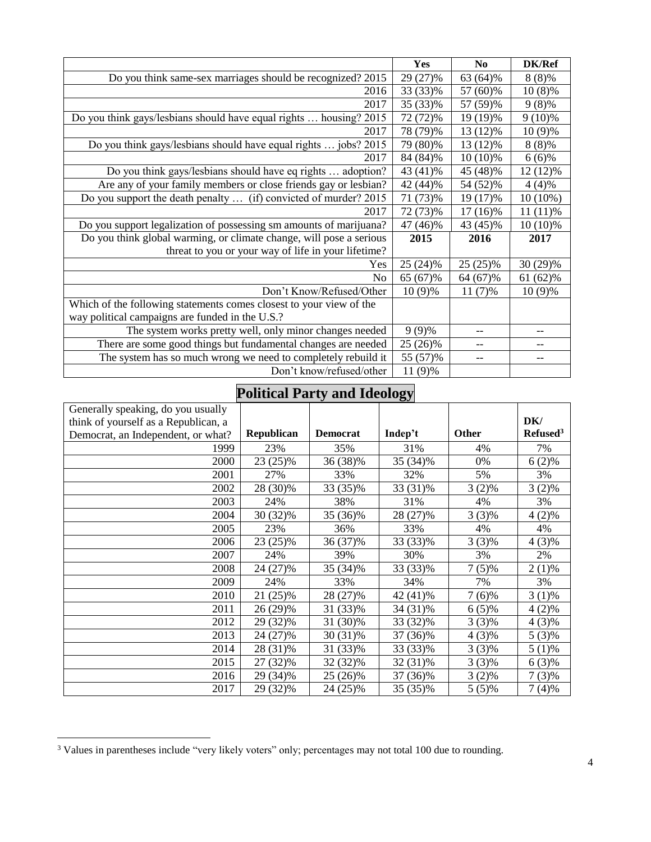|                                                                     | Yes       | $\mathbf{N}\mathbf{0}$ | DK/Ref     |
|---------------------------------------------------------------------|-----------|------------------------|------------|
| Do you think same-sex marriages should be recognized? 2015          | 29 (27)%  | 63 (64)%               | $8(8)\%$   |
| 2016                                                                | 33 (33)%  | 57 (60)%               | $10(8)\%$  |
| 2017                                                                | 35 (33)%  | 57 (59)%               | $9(8)\%$   |
| Do you think gays/lesbians should have equal rights  housing? 2015  | 72 (72)%  | 19 (19)%               | $9(10)\%$  |
| 2017                                                                | 78 (79)%  | 13 (12)%               | $10(9)\%$  |
| Do you think gays/lesbians should have equal rights  jobs? 2015     | 79 (80)%  | 13 (12)%               | $8(8)\%$   |
| 2017                                                                | 84 (84)%  | $10(10)\%$             | $6(6)\%$   |
| Do you think gays/lesbians should have eq rights  adoption?         | 43 (41)%  | 45 (48)%               | 12 (12)%   |
| Are any of your family members or close friends gay or lesbian?     | 42 (44)%  | 54 (52)%               | $4(4)\%$   |
| Do you support the death penalty  (if) convicted of murder? 2015    | 71 (73)%  | 19 (17)%               | $10(10\%)$ |
| 2017                                                                | 72 (73)%  | 17 (16)%               | $11(11)\%$ |
| Do you support legalization of possessing sm amounts of marijuana?  | 47 (46)%  | 43 (45)%               | 10 (10)%   |
| Do you think global warming, or climate change, will pose a serious | 2015      | 2016                   | 2017       |
| threat to you or your way of life in your lifetime?                 |           |                        |            |
| Yes                                                                 | 25 (24)%  | $25(25)\%$             | 30 (29)%   |
| No.                                                                 | 65 (67)%  | 64 (67)%               | 61 (62)%   |
| Don't Know/Refused/Other                                            | $10(9)\%$ | $11(7)\%$              | $10(9)\%$  |
| Which of the following statements comes closest to your view of the |           |                        |            |
| way political campaigns are funded in the U.S.?                     |           |                        |            |
| The system works pretty well, only minor changes needed             | $9(9)\%$  |                        |            |
| There are some good things but fundamental changes are needed       | 25 (26)%  |                        |            |
| The system has so much wrong we need to completely rebuild it       | 55 (57)%  |                        | --         |
| Don't know/refused/other                                            | 11 (9)%   |                        |            |

# **Political Party and Ideology**

|                                      |                   |                 | $\bm{\mathsf{\omega}}$ |              |                      |
|--------------------------------------|-------------------|-----------------|------------------------|--------------|----------------------|
| Generally speaking, do you usually   |                   |                 |                        |              |                      |
| think of yourself as a Republican, a |                   |                 |                        |              | DK/                  |
| Democrat, an Independent, or what?   | <b>Republican</b> | <b>Democrat</b> | Indep't                | <b>Other</b> | Refused <sup>3</sup> |
| 1999                                 | 23%               | 35%             | 31%                    | 4%           | 7%                   |
| 2000                                 | 23 (25)%          | 36 (38)%        | 35 (34)%               | 0%           | $6(2)\%$             |
| 2001                                 | 27%               | 33%             | 32%                    | 5%           | 3%                   |
| 2002                                 | 28 (30)%          | 33 (35)%        | 33 (31)%               | $3(2)\%$     | $3(2)\%$             |
| 2003                                 | 24%               | 38%             | 31%                    | 4%           | 3%                   |
| 2004                                 | 30 (32)%          | 35 (36)%        | 28 (27)%               | $3(3)\%$     | $4(2)\%$             |
| 2005                                 | 23%               | 36%             | 33%                    | 4%           | 4%                   |
| 2006                                 | 23 (25)%          | 36 (37)%        | 33 (33)%               | $3(3)\%$     | 4 (3)%               |
| 2007                                 | 24%               | 39%             | 30%                    | 3%           | 2%                   |
| 2008                                 | 24 (27)%          | 35 (34)%        | 33 (33)%               | $7(5)\%$     | $2(1)\%$             |
| 2009                                 | 24%               | 33%             | 34%                    | 7%           | 3%                   |
| 2010                                 | 21 (25)%          | 28 (27)%        | 42 (41)%               | $7(6)\%$     | $3(1)\%$             |
| 2011                                 | 26 (29)%          | 31 (33)%        | 34 (31)%               | $6(5)\%$     | $4(2)\%$             |
| 2012                                 | 29 (32)%          | 31 (30)%        | 33 (32)%               | $3(3)\%$     | $4(3)\%$             |
| 2013                                 | 24 (27)%          | 30 (31)%        | 37 (36)%               | $4(3)\%$     | $5(3)\%$             |
| 2014                                 | 28 (31)%          | 31 (33)%        | 33 (33)%               | $3(3)\%$     | $5(1)\%$             |
| 2015                                 | 27 (32)%          | 32 (32)%        | 32 (31)%               | $3(3)\%$     | $6(3)\%$             |
| 2016                                 | 29 (34)%          | 25 (26)%        | 37 (36)%               | $3(2)\%$     | $7(3)\%$             |
| 2017                                 | 29 (32)%          | 24 (25)%        | 35 (35)%               | $5(5)\%$     | $7(4)\%$             |

<sup>&</sup>lt;sup>3</sup> Values in parentheses include "very likely voters" only; percentages may not total 100 due to rounding.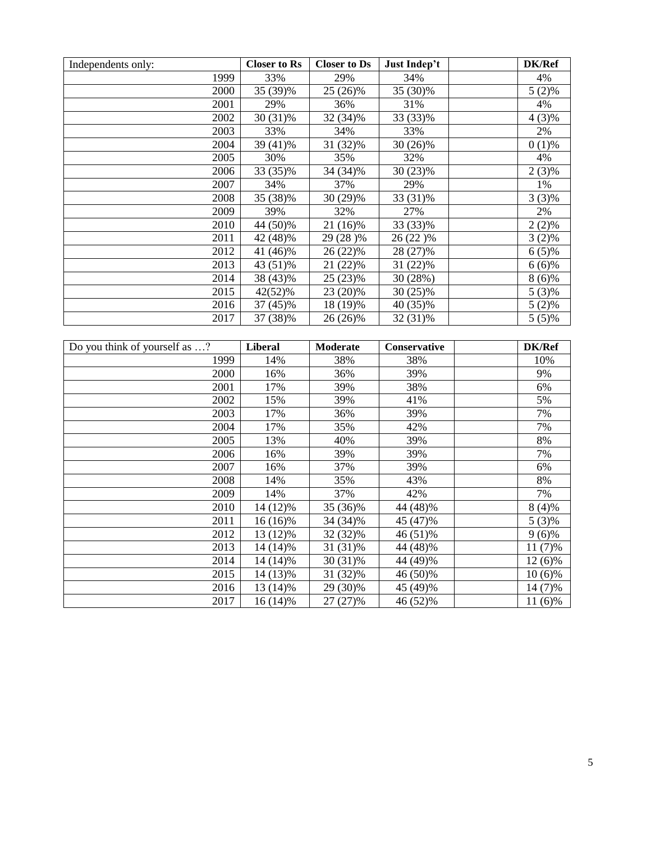| Independents only: | <b>Closer to Rs</b> | <b>Closer to Ds</b> | Just Indep't | <b>DK/Ref</b> |
|--------------------|---------------------|---------------------|--------------|---------------|
| 1999               | 33%                 | 29%                 | 34%          | 4%            |
| 2000               | 35 (39)%            | 25 (26)%            | 35 (30)%     | $5(2)\%$      |
| 2001               | 29%                 | 36%                 | 31%          | 4%            |
| 2002               | 30 (31)%            | 32 (34)%            | 33 (33)%     | $4(3)\%$      |
| 2003               | 33%                 | 34%                 | 33%          | 2%            |
| 2004               | 39 (41)%            | 31 (32)%            | 30 (26)%     | $0(1)\%$      |
| 2005               | 30%                 | 35%                 | 32%          | 4%            |
| 2006               | 33 (35)%            | 34 (34)%            | 30 (23)%     | $2(3)\%$      |
| 2007               | 34%                 | 37%                 | 29%          | 1%            |
| 2008               | 35 (38)%            | 30 (29)%            | 33 (31)%     | $3(3)\%$      |
| 2009               | 39%                 | 32%                 | 27%          | 2%            |
| 2010               | 44 (50)%            | 21 (16)%            | 33 (33)%     | $2(2)\%$      |
| 2011               | 42 (48)%            | 29 (28)%            | 26 (22)%     | $3(2)\%$      |
| 2012               | 41 (46)%            | 26 (22)%            | 28 (27)%     | $6(5)\%$      |
| 2013               | 43 (51)%            | 21(22)%             | 31 (22)%     | $6(6)\%$      |
| 2014               | 38 (43)%            | $25(23)\%$          | 30 (28%)     | $8(6)\%$      |
| 2015               | 42(52)%             | 23 (20)%            | 30 (25)%     | $5(3)\%$      |
| 2016               | 37 (45)%            | 18 (19)%            | 40 (35)%     | $5(2)\%$      |
| 2017               | 37 (38)%            | 26 (26)%            | 32 (31)%     | $5(5)\%$      |

| Do you think of yourself as ? | <b>Liberal</b> | <b>Moderate</b> | <b>Conservative</b> | DK/Ref    |
|-------------------------------|----------------|-----------------|---------------------|-----------|
| 1999                          | 14%            | 38%             | 38%                 | 10%       |
| 2000                          | 16%            | 36%             | 39%                 | 9%        |
| 2001                          | 17%            | 39%             | 38%                 | 6%        |
| 2002                          | 15%            | 39%             | 41%                 | 5%        |
| 2003                          | 17%            | 36%             | 39%                 | 7%        |
| 2004                          | 17%            | 35%             | 42%                 | 7%        |
| 2005                          | 13%            | 40%             | 39%                 | 8%        |
| 2006                          | 16%            | 39%             | 39%                 | 7%        |
| 2007                          | 16%            | 37%             | 39%                 | 6%        |
| 2008                          | 14%            | 35%             | 43%                 | 8%        |
| 2009                          | 14%            | 37%             | 42%                 | 7%        |
| 2010                          | 14 (12)%       | 35 (36)%        | 44 (48)%            | $8(4)\%$  |
| 2011                          | 16 (16)%       | 34 (34)%        | 45 (47)%            | $5(3)\%$  |
| 2012                          | 13 (12)%       | 32 (32)%        | 46 (51)%            | $9(6)\%$  |
| 2013                          | 14 (14)%       | 31 (31)%        | 44 (48)%            | $11(7)\%$ |
| 2014                          | 14 (14)%       | $30(31)\%$      | 44 (49)%            | $12(6)\%$ |
| 2015                          | 14 (13)%       | 31 (32)%        | 46 (50)%            | $10(6)\%$ |
| 2016                          | 13 (14)%       | 29 (30)%        | 45 (49)%            | 14 (7)%   |
| 2017                          | $16(14)\%$     | 27 (27)%        | 46 (52)%            | $11(6)\%$ |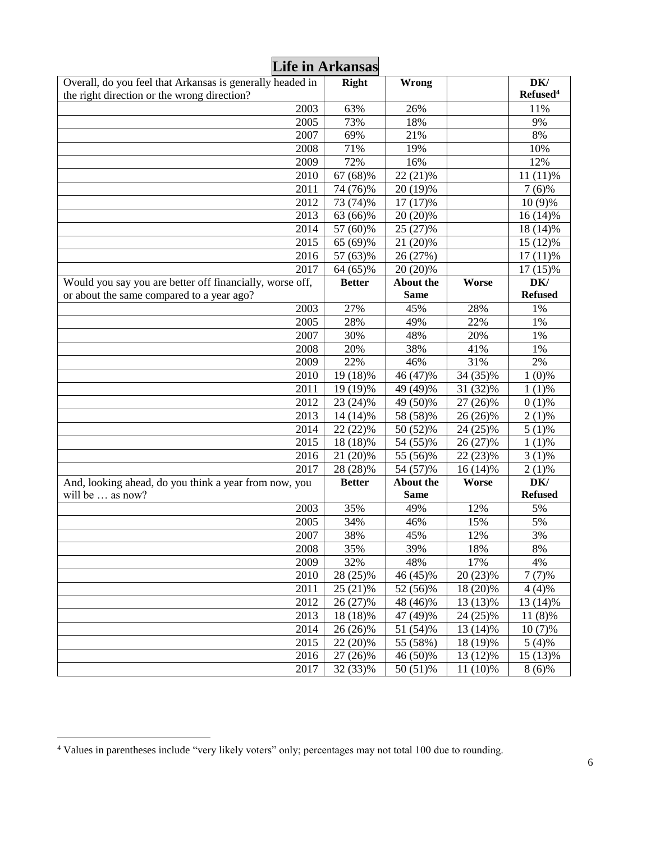|                                                                                                          | <b>Life in Arkansas</b> |                  |          |                             |
|----------------------------------------------------------------------------------------------------------|-------------------------|------------------|----------|-----------------------------|
| Overall, do you feel that Arkansas is generally headed in<br>the right direction or the wrong direction? | <b>Right</b>            | Wrong            |          | DK/<br>Refused <sup>4</sup> |
| 2003                                                                                                     | 63%                     | 26%              |          | 11%                         |
| 2005                                                                                                     | 73%                     | 18%              |          | 9%                          |
| 2007                                                                                                     | 69%                     | 21%              |          | 8%                          |
| 2008                                                                                                     | 71%                     | 19%              |          | 10%                         |
| 2009                                                                                                     | 72%                     | 16%              |          | 12%                         |
| 2010                                                                                                     | 67 (68)%                | 22 (21)%         |          | $11(11)\%$                  |
| 2011                                                                                                     | 74 (76)%                | 20 (19)%         |          | $7(6)\%$                    |
| 2012                                                                                                     | 73 (74)%                | 17 (17)%         |          | 10 (9)%                     |
| 2013                                                                                                     | 63 (66)%                | 20 (20)%         |          | $16(14)\%$                  |
| 2014                                                                                                     | 57 (60)%                | 25 (27)%         |          | 18 (14)%                    |
| 2015                                                                                                     | 65 (69)%                | 21 (20)%         |          | 15 (12)%                    |
| 2016                                                                                                     | 57 (63)%                | 26 (27%)         |          | $17(11)\%$                  |
| 2017                                                                                                     | 64 (65)%                | 20 (20)%         |          | $17(15)\%$                  |
| Would you say you are better off financially, worse off,                                                 | <b>Better</b>           | <b>About the</b> | Worse    | DK/                         |
| or about the same compared to a year ago?                                                                |                         | <b>Same</b>      |          | <b>Refused</b>              |
| 2003                                                                                                     | 27%                     | 45%              | 28%      | 1%                          |
| $\overline{2005}$                                                                                        | 28%                     | 49%              | 22%      | 1%                          |
| 2007                                                                                                     | 30%                     | 48%              | 20%      | 1%                          |
| 2008                                                                                                     | 20%                     | 38%              | 41%      | 1%                          |
| 2009                                                                                                     | 22%                     | 46%              | 31%      | 2%                          |
| 2010                                                                                                     | 19 (18)%                | 46 (47)%         | 34 (35)% | $1(0)\%$                    |
| 2011                                                                                                     | 19 (19)%                | 49 (49)%         | 31 (32)% | $1(1)\%$                    |
| 2012                                                                                                     | 23 (24)%                | 49 (50)%         | 27 (26)% | $0(1)\%$                    |
| 2013                                                                                                     | 14 (14)%                | 58 (58)%         | 26 (26)% | $2(1)\%$                    |
| 2014                                                                                                     | 22 (22)%                | 50 (52)%         | 24 (25)% | $5(1)\%$                    |
| 2015                                                                                                     | 18 (18)%                | 54 (55)%         | 26 (27)% | $1(1)\%$                    |
| 2016                                                                                                     | 21 (20)%                | 55 (56)%         | 22 (23)% | $3(1)\%$                    |
| 2017                                                                                                     | 28 (28)%                | 54 (57)%         | 16 (14)% | $2(1)\%$                    |
| And, looking ahead, do you think a year from now, you                                                    | <b>Better</b>           | <b>About the</b> | Worse    | DK/                         |
| will be  as now?                                                                                         |                         | <b>Same</b>      |          | <b>Refused</b>              |
| 2003                                                                                                     | 35%                     | 49%              | 12%      | 5%                          |
| 2005                                                                                                     | 34%                     | 46%              | 15%      | 5%                          |
| 2007                                                                                                     | 38%                     | 45%              | 12%      | 3%                          |
| 2008                                                                                                     | 35%                     | 39%              | 18%      | 8%                          |
| 2009                                                                                                     | 32%                     | 48%              | 17%      | 4%                          |
| 2010                                                                                                     | 28 (25)%                | 46 (45)%         | 20 (23)% | $7(7)\%$                    |
| 2011                                                                                                     | 25 (21)%                | 52 (56)%         | 18 (20)% | $4(4)\%$                    |
| 2012                                                                                                     | 26 (27)%                | 48 (46)%         | 13 (13)% | 13 (14)%                    |
| 2013                                                                                                     | 18 (18)%                | 47 (49)%         | 24 (25)% | 11 (8)%                     |
| 2014                                                                                                     | 26 (26)%                | 51 (54)%         | 13 (14)% | $10(7)\%$                   |
| 2015                                                                                                     | 22 (20)%                | 55 (58%)         | 18 (19)% | $5(4)\%$                    |
| 2016                                                                                                     | 27 (26)%                | 46 (50)%         | 13 (12)% | 15 (13)%                    |
| 2017                                                                                                     | 32 (33)%                | 50 (51)%         | 11 (10)% | $8(6)\%$                    |

Values in parentheses include "very likely voters" only; percentages may not total 100 due to rounding.